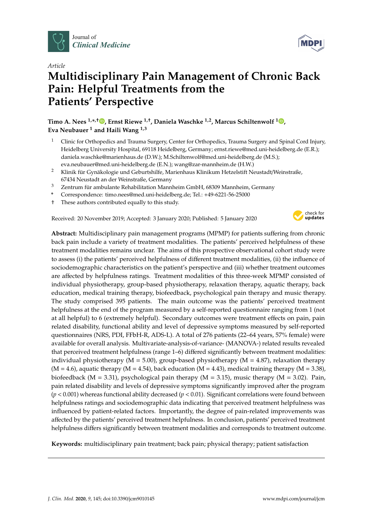



# *Article* **Multidisciplinary Pain Management of Chronic Back Pain: Helpful Treatments from the Patients' Perspective**

**Timo A. Nees 1,\* ,**† **[,](https://orcid.org/0000-0003-4292-604X) Ernst Riewe 1,**† **, Daniela Waschke 1,2, Marcus Schiltenwolf <sup>1</sup> [,](https://orcid.org/0000-0003-0835-4172) Eva Neubauer <sup>1</sup> and Haili Wang 1,3**

- <sup>1</sup> Clinic for Orthopedics and Trauma Surgery, Center for Orthopedics, Trauma Surgery and Spinal Cord Injury, Heidelberg University Hospital, 69118 Heidelberg, Germany; ernst.riewe@med.uni-heidelberg.de (E.R.); daniela.waschke@marienhaus.de (D.W.); M.Schiltenwolf@med.uni-heidelberg.de (M.S.); eva.neubauer@med.uni-heidelberg.de (E.N.); wang@zar-mannheim.de (H.W.)
- <sup>2</sup> Klinik für Gynäkologie und Geburtshilfe, Marienhaus Klinikum Hetzelstift Neustadt/Weinstraße, 67434 Neustadt an der Weinstraße, Germany
- <sup>3</sup> Zentrum für ambulante Rehabilitation Mannheim GmbH, 68309 Mannheim, Germany
- **\*** Correspondence: timo.nees@med.uni-heidelberg.de; Tel.: +49-6221-56-25000
- † These authors contributed equally to this study.

Received: 20 November 2019; Accepted: 3 January 2020; Published: 5 January 2020



**Abstract:** Multidisciplinary pain management programs (MPMP) for patients suffering from chronic back pain include a variety of treatment modalities. The patients' perceived helpfulness of these treatment modalities remains unclear. The aims of this prospective observational cohort study were to assess (i) the patients' perceived helpfulness of different treatment modalities, (ii) the influence of sociodemographic characteristics on the patient's perspective and (iii) whether treatment outcomes are affected by helpfulness ratings. Treatment modalities of this three-week MPMP consisted of individual physiotherapy, group-based physiotherapy, relaxation therapy, aquatic therapy, back education, medical training therapy, biofeedback, psychological pain therapy and music therapy. The study comprised 395 patients. The main outcome was the patients' perceived treatment helpfulness at the end of the program measured by a self-reported questionnaire ranging from 1 (not at all helpful) to 6 (extremely helpful). Secondary outcomes were treatment effects on pain, pain related disability, functional ability and level of depressive symptoms measured by self-reported questionnaires (NRS, PDI, FFbH-R, ADS-L). A total of 276 patients (22–64 years, 57% female) were available for overall analysis. Multivariate-analysis-of-variance- (MANOVA-) related results revealed that perceived treatment helpfulness (range 1–6) differed significantly between treatment modalities: individual physiotherapy ( $M = 5.00$ ), group-based physiotherapy ( $M = 4.87$ ), relaxation therapy  $(M = 4.6)$ , aquatic therapy  $(M = 4.54)$ , back education  $(M = 4.43)$ , medical training therapy  $(M = 3.38)$ , biofeedback (M = 3.31), psychological pain therapy (M = 3.15), music therapy (M = 3.02). Pain, pain related disability and levels of depressive symptoms significantly improved after the program (*p* < 0.001) whereas functional ability decreased (*p* < 0.01). Significant correlations were found between helpfulness ratings and sociodemographic data indicating that perceived treatment helpfulness was influenced by patient-related factors. Importantly, the degree of pain-related improvements was affected by the patients' perceived treatment helpfulness. In conclusion, patients' perceived treatment helpfulness differs significantly between treatment modalities and corresponds to treatment outcome.

**Keywords:** multidisciplinary pain treatment; back pain; physical therapy; patient satisfaction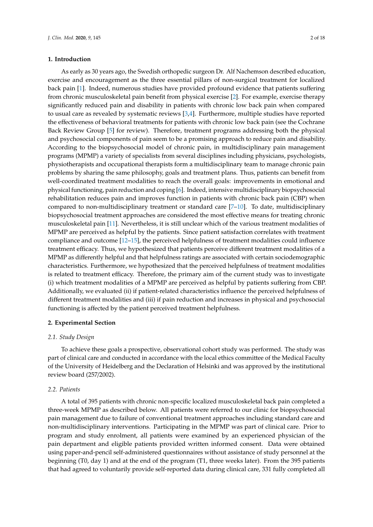## **1. Introduction**

As early as 30 years ago, the Swedish orthopedic surgeon Dr. Alf Nachemson described education, exercise and encouragement as the three essential pillars of non-surgical treatment for localized back pain [\[1\]](#page-15-0). Indeed, numerous studies have provided profound evidence that patients suffering from chronic musculoskeletal pain benefit from physical exercise [\[2\]](#page-15-1). For example, exercise therapy significantly reduced pain and disability in patients with chronic low back pain when compared to usual care as revealed by systematic reviews [\[3](#page-15-2)[,4\]](#page-15-3). Furthermore, multiple studies have reported the effectiveness of behavioral treatments for patients with chronic low back pain (see the Cochrane Back Review Group [\[5\]](#page-15-4) for review). Therefore, treatment programs addressing both the physical and psychosocial components of pain seem to be a promising approach to reduce pain and disability. According to the biopsychosocial model of chronic pain, in multidisciplinary pain management programs (MPMP) a variety of specialists from several disciplines including physicians, psychologists, physiotherapists and occupational therapists form a multidisciplinary team to manage chronic pain problems by sharing the same philosophy, goals and treatment plans. Thus, patients can benefit from well-coordinated treatment modalities to reach the overall goals: improvements in emotional and physical functioning, pain reduction and coping [\[6\]](#page-15-5). Indeed, intensive multidisciplinary biopsychosocial rehabilitation reduces pain and improves function in patients with chronic back pain (CBP) when compared to non-multidisciplinary treatment or standard care [\[7](#page-15-6)[–10\]](#page-15-7). To date, multidisciplinary biopsychosocial treatment approaches are considered the most effective means for treating chronic musculoskeletal pain [\[11\]](#page-15-8). Nevertheless, it is still unclear which of the various treatment modalities of MPMP are perceived as helpful by the patients. Since patient satisfaction correlates with treatment compliance and outcome [\[12](#page-15-9)[–15\]](#page-16-0), the perceived helpfulness of treatment modalities could influence treatment efficacy. Thus, we hypothesized that patients perceive different treatment modalities of a MPMP as differently helpful and that helpfulness ratings are associated with certain sociodemographic characteristics. Furthermore, we hypothesized that the perceived helpfulness of treatment modalities is related to treatment efficacy. Therefore, the primary aim of the current study was to investigate (i) which treatment modalities of a MPMP are perceived as helpful by patients suffering from CBP. Additionally, we evaluated (ii) if patient-related characteristics influence the perceived helpfulness of different treatment modalities and (iii) if pain reduction and increases in physical and psychosocial functioning is affected by the patient perceived treatment helpfulness.

## **2. Experimental Section**

#### *2.1. Study Design*

To achieve these goals a prospective, observational cohort study was performed. The study was part of clinical care and conducted in accordance with the local ethics committee of the Medical Faculty of the University of Heidelberg and the Declaration of Helsinki and was approved by the institutional review board (257/2002).

## *2.2. Patients*

A total of 395 patients with chronic non-specific localized musculoskeletal back pain completed a three-week MPMP as described below. All patients were referred to our clinic for biopsychosocial pain management due to failure of conventional treatment approaches including standard care and non-multidisciplinary interventions. Participating in the MPMP was part of clinical care. Prior to program and study enrolment, all patients were examined by an experienced physician of the pain department and eligible patients provided written informed consent. Data were obtained using paper-and-pencil self-administered questionnaires without assistance of study personnel at the beginning (T0, day 1) and at the end of the program (T1, three weeks later). From the 395 patients that had agreed to voluntarily provide self-reported data during clinical care, 331 fully completed all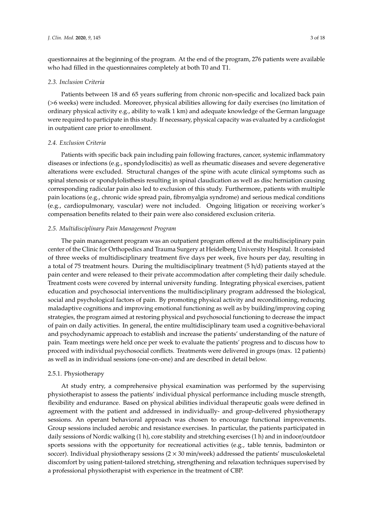questionnaires at the beginning of the program. At the end of the program, 276 patients were available who had filled in the questionnaires completely at both T0 and T1.

#### *2.3. Inclusion Criteria*

Patients between 18 and 65 years suffering from chronic non-specific and localized back pain (>6 weeks) were included. Moreover, physical abilities allowing for daily exercises (no limitation of ordinary physical activity e.g., ability to walk 1 km) and adequate knowledge of the German language were required to participate in this study. If necessary, physical capacity was evaluated by a cardiologist in outpatient care prior to enrollment.

## *2.4. Exclusion Criteria*

Patients with specific back pain including pain following fractures, cancer, systemic inflammatory diseases or infections (e.g., spondylodiscitis) as well as rheumatic diseases and severe degenerative alterations were excluded. Structural changes of the spine with acute clinical symptoms such as spinal stenosis or spondylolisthesis resulting in spinal claudication as well as disc herniation causing corresponding radicular pain also led to exclusion of this study. Furthermore, patients with multiple pain locations (e.g., chronic wide spread pain, fibromyalgia syndrome) and serious medical conditions (e.g., cardiopulmonary, vascular) were not included. Ongoing litigation or receiving worker's compensation benefits related to their pain were also considered exclusion criteria.

## *2.5. Multidisciplinary Pain Management Program*

The pain management program was an outpatient program offered at the multidisciplinary pain center of the Clinic for Orthopedics and Trauma Surgery at Heidelberg University Hospital. It consisted of three weeks of multidisciplinary treatment five days per week, five hours per day, resulting in a total of 75 treatment hours. During the multidisciplinary treatment (5 h/d) patients stayed at the pain center and were released to their private accommodation after completing their daily schedule. Treatment costs were covered by internal university funding. Integrating physical exercises, patient education and psychosocial interventions the multidisciplinary program addressed the biological, social and psychological factors of pain. By promoting physical activity and reconditioning, reducing maladaptive cognitions and improving emotional functioning as well as by building/improving coping strategies, the program aimed at restoring physical and psychosocial functioning to decrease the impact of pain on daily activities. In general, the entire multidisciplinary team used a cognitive-behavioral and psychodynamic approach to establish and increase the patients' understanding of the nature of pain. Team meetings were held once per week to evaluate the patients' progress and to discuss how to proceed with individual psychosocial conflicts. Treatments were delivered in groups (max. 12 patients) as well as in individual sessions (one-on-one) and are described in detail below.

## 2.5.1. Physiotherapy

At study entry, a comprehensive physical examination was performed by the supervising physiotherapist to assess the patients' individual physical performance including muscle strength, flexibility and endurance. Based on physical abilities individual therapeutic goals were defined in agreement with the patient and addressed in individually- and group-delivered physiotherapy sessions. An operant behavioral approach was chosen to encourage functional improvements. Group sessions included aerobic and resistance exercises. In particular, the patients participated in daily sessions of Nordic walking (1 h), core stability and stretching exercises (1 h) and in indoor/outdoor sports sessions with the opportunity for recreational activities (e.g., table tennis, badminton or soccer). Individual physiotherapy sessions  $(2 \times 30 \text{ min/week})$  addressed the patients' musculoskeletal discomfort by using patient-tailored stretching, strengthening and relaxation techniques supervised by a professional physiotherapist with experience in the treatment of CBP.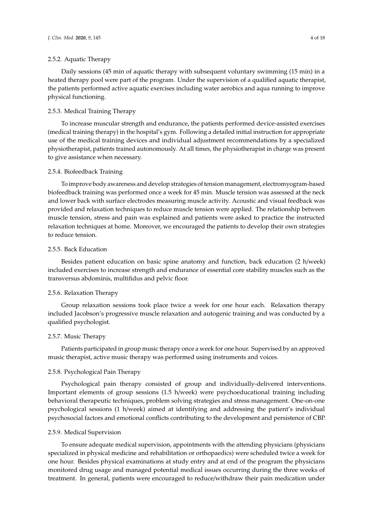## 2.5.2. Aquatic Therapy

Daily sessions (45 min of aquatic therapy with subsequent voluntary swimming (15 min) in a heated therapy pool were part of the program. Under the supervision of a qualified aquatic therapist, the patients performed active aquatic exercises including water aerobics and aqua running to improve physical functioning.

## 2.5.3. Medical Training Therapy

To increase muscular strength and endurance, the patients performed device-assisted exercises (medical training therapy) in the hospital's gym. Following a detailed initial instruction for appropriate use of the medical training devices and individual adjustment recommendations by a specialized physiotherapist, patients trained autonomously. At all times, the physiotherapist in charge was present to give assistance when necessary.

#### 2.5.4. Biofeedback Training

To improve body awareness and develop strategies of tension management, electromyogram-based biofeedback training was performed once a week for 45 min. Muscle tension was assessed at the neck and lower back with surface electrodes measuring muscle activity. Acoustic and visual feedback was provided and relaxation techniques to reduce muscle tension were applied. The relationship between muscle tension, stress and pain was explained and patients were asked to practice the instructed relaxation techniques at home. Moreover, we encouraged the patients to develop their own strategies to reduce tension.

## 2.5.5. Back Education

Besides patient education on basic spine anatomy and function, back education (2 h/week) included exercises to increase strength and endurance of essential core stability muscles such as the transversus abdominis, multifidus and pelvic floor.

## 2.5.6. Relaxation Therapy

Group relaxation sessions took place twice a week for one hour each. Relaxation therapy included Jacobson's progressive muscle relaxation and autogenic training and was conducted by a qualified psychologist.

#### 2.5.7. Music Therapy

Patients participated in group music therapy once a week for one hour. Supervised by an approved music therapist, active music therapy was performed using instruments and voices.

## 2.5.8. Psychological Pain Therapy

Psychological pain therapy consisted of group and individually-delivered interventions. Important elements of group sessions (1.5 h/week) were psychoeducational training including behavioral therapeutic techniques, problem solving strategies and stress management. One-on-one psychological sessions (1 h/week) aimed at identifying and addressing the patient's individual psychosocial factors and emotional conflicts contributing to the development and persistence of CBP.

## 2.5.9. Medical Supervision

To ensure adequate medical supervision, appointments with the attending physicians (physicians specialized in physical medicine and rehabilitation or orthopaedics) were scheduled twice a week for one hour. Besides physical examinations at study entry and at end of the program the physicians monitored drug usage and managed potential medical issues occurring during the three weeks of treatment. In general, patients were encouraged to reduce/withdraw their pain medication under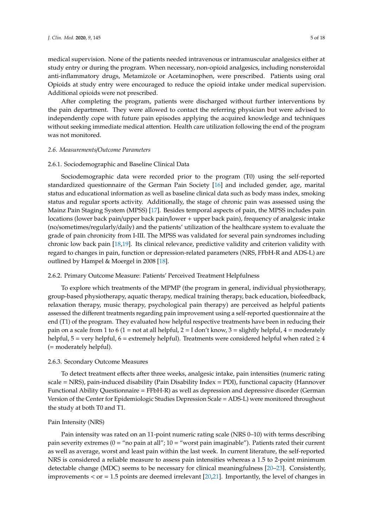medical supervision. None of the patients needed intravenous or intramuscular analgesics either at study entry or during the program. When necessary, non-opioid analgesics, including nonsteroidal anti-inflammatory drugs, Metamizole or Acetaminophen, were prescribed. Patients using oral Opioids at study entry were encouraged to reduce the opioid intake under medical supervision. Additional opioids were not prescribed.

After completing the program, patients were discharged without further interventions by the pain department. They were allowed to contact the referring physician but were advised to independently cope with future pain episodes applying the acquired knowledge and techniques without seeking immediate medical attention. Health care utilization following the end of the program was not monitored.

## *2.6. Measurements*/*Outcome Parameters*

#### 2.6.1. Sociodemographic and Baseline Clinical Data

Sociodemographic data were recorded prior to the program (T0) using the self-reported standardized questionnaire of the German Pain Society [\[16\]](#page-16-1) and included gender, age, marital status and educational information as well as baseline clinical data such as body mass index, smoking status and regular sports activity. Additionally, the stage of chronic pain was assessed using the Mainz Pain Staging System (MPSS) [\[17\]](#page-16-2). Besides temporal aspects of pain, the MPSS includes pain locations (lower back pain/upper back pain/lower + upper back pain), frequency of analgesic intake (no/sometimes/regularly/daily) and the patients' utilization of the healthcare system to evaluate the grade of pain chronicity from I-III. The MPSS was validated for several pain syndromes including chronic low back pain [\[18](#page-16-3)[,19\]](#page-16-4). Its clinical relevance, predictive validity and criterion validity with regard to changes in pain, function or depression-related parameters (NRS, FFbH-R and ADS-L) are outlined by Hampel & Moergel in 2008 [\[18\]](#page-16-3).

## 2.6.2. Primary Outcome Measure: Patients' Perceived Treatment Helpfulness

To explore which treatments of the MPMP (the program in general, individual physiotherapy, group-based physiotherapy, aquatic therapy, medical training therapy, back education, biofeedback, relaxation therapy, music therapy, psychological pain therapy) are perceived as helpful patients assessed the different treatments regarding pain improvement using a self-reported questionnaire at the end (T1) of the program. They evaluated how helpful respective treatments have been in reducing their pain on a scale from 1 to 6 (1 = not at all helpful,  $2 = I$  don't know, 3 = slightly helpful, 4 = moderately helpful, 5 = very helpful, 6 = extremely helpful). Treatments were considered helpful when rated  $\geq 4$ (= moderately helpful).

#### 2.6.3. Secondary Outcome Measures

To detect treatment effects after three weeks, analgesic intake, pain intensities (numeric rating scale = NRS), pain-induced disability (Pain Disability Index = PDI), functional capacity (Hannover Functional Ability Questionnaire = FFbH-R) as well as depression and depressive disorder (German Version of the Center for Epidemiologic Studies Depression Scale = ADS-L) were monitored throughout the study at both T0 and T1.

#### Pain Intensity (NRS)

Pain intensity was rated on an 11-point numeric rating scale (NRS 0–10) with terms describing pain severity extremes ( $0 =$  "no pain at all";  $10 =$  "worst pain imaginable"). Patients rated their current as well as average, worst and least pain within the last week. In current literature, the self-reported NRS is considered a reliable measure to assess pain intensities whereas a 1.5 to 2-point minimum detectable change (MDC) seems to be necessary for clinical meaningfulness [\[20](#page-16-5)[–23\]](#page-16-6). Consistently, improvements  $\langle$  or = 1.5 points are deemed irrelevant [\[20,](#page-16-5)[21\]](#page-16-7). Importantly, the level of changes in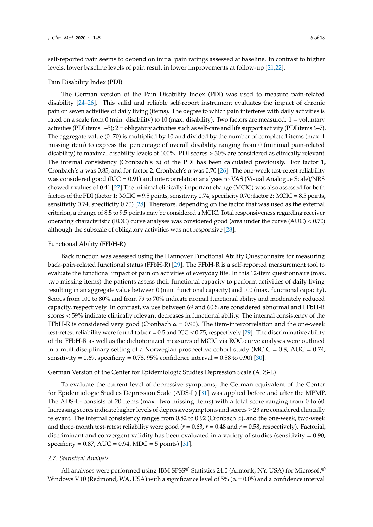self-reported pain seems to depend on initial pain ratings assessed at baseline. In contrast to higher levels, lower baseline levels of pain result in lower improvements at follow-up [\[21,](#page-16-7)[22\]](#page-16-8).

## Pain Disability Index (PDI)

The German version of the Pain Disability Index (PDI) was used to measure pain-related disability [\[24](#page-16-9)[–26\]](#page-16-10). This valid and reliable self-report instrument evaluates the impact of chronic pain on seven activities of daily living (items). The degree to which pain interferes with daily activities is rated on a scale from 0 (min. disability) to 10 (max. disability). Two factors are measured: 1 = voluntary activities (PDI items 1–5); 2 = obligatory activities such as self-care and life support activity (PDI items 6–7). The aggregate value (0–70) is multiplied by 10 and divided by the number of completed items (max. 1 missing item) to express the percentage of overall disability ranging from 0 (minimal pain-related disability) to maximal disability levels of 100%. PDI scores > 30% are considered as clinically relevant. The internal consistency (Cronbach's  $\alpha$ ) of the PDI has been calculated previously. For factor 1, Cronbach's  $\alpha$  was 0.85, and for factor 2, Cronbach's  $\alpha$  was 0.70 [\[26\]](#page-16-10). The one-week test-retest reliability was considered good (ICC = 0.91) and intercorrelation analyses to VAS (Visual Analogue Scale)/NRS showed r values of 0.41 [\[27\]](#page-16-11) The minimal clinically important change (MCIC) was also assessed for both factors of the PDI (factor 1: MCIC = 9.5 points, sensitivity 0.74, specificity 0.70; factor 2: MCIC = 8.5 points, sensitivity 0.74, specificity 0.70) [\[28\]](#page-16-12). Therefore, depending on the factor that was used as the external criterion, a change of 8.5 to 9.5 points may be considered a MCIC. Total responsiveness regarding receiver operating characteristic (ROC) curve analyses was considered good (area under the curve (AUC) < 0.70) although the subscale of obligatory activities was not responsive [\[28\]](#page-16-12).

## Functional Ability (FFbH-R)

Back function was assessed using the Hannover Functional Ability Questionnaire for measuring back-pain-related functional status (FFbH-R) [\[29\]](#page-16-13). The FFbH-R is a self-reported measurement tool to evaluate the functional impact of pain on activities of everyday life. In this 12-item questionnaire (max. two missing items) the patients assess their functional capacity to perform activities of daily living resulting in an aggregate value between 0 (min. functional capacity) and 100 (max. functional capacity). Scores from 100 to 80% and from 79 to 70% indicate normal functional ability and moderately reduced capacity, respectively. In contrast, values between 69 and 60% are considered abnormal and FFbH-R scores < 59% indicate clinically relevant decreases in functional ability. The internal consistency of the FFbH-R is considered very good (Cronbach  $\alpha = 0.90$ ). The item-intercorrelation and the one-week test-retest reliability were found to be r = 0.5 and ICC < 0.75, respectively [\[29\]](#page-16-13). The discriminative ability of the FFbH-R as well as the dichotomized measures of MCIC via ROC-curve analyses were outlined in a multidisciplinary setting of a Norwegian prospective cohort study (MCIC =  $0.8$ , AUC =  $0.74$ , sensitivity =  $0.69$ , specificity =  $0.78$ ,  $95\%$  confidence interval =  $0.58$  to  $0.90$  [\[30\]](#page-16-14).

## German Version of the Center for Epidemiologic Studies Depression Scale (ADS-L)

To evaluate the current level of depressive symptoms, the German equivalent of the Center for Epidemiologic Studies Depression Scale (ADS-L) [\[31\]](#page-16-15) was applied before and after the MPMP. The ADS-L- consists of 20 items (max. two missing items) with a total score ranging from 0 to 60. Increasing scores indicate higher levels of depressive symptoms and scores ≥ 23 are considered clinically relevant. The internal consistency ranges from 0.82 to 0.92 (Cronbach  $\alpha$ ), and the one-week, two-week and three-month test-retest reliability were good ( $r = 0.63$ ,  $r = 0.48$  and  $r = 0.58$ , respectively). Factorial, discriminant and convergent validity has been evaluated in a variety of studies (sensitivity  $= 0.90$ ;  $specificity = 0.87; AUC = 0.94, MDC = 5 points [31].$  $specificity = 0.87; AUC = 0.94, MDC = 5 points [31].$  $specificity = 0.87; AUC = 0.94, MDC = 5 points [31].$ 

## *2.7. Statistical Analysis*

All analyses were performed using IBM SPSS® Statistics 24.0 (Armonk, NY, USA) for Microsoft® Windows V.10 (Redmond, WA, USA) with a significance level of 5% ( $\alpha$  = 0.05) and a confidence interval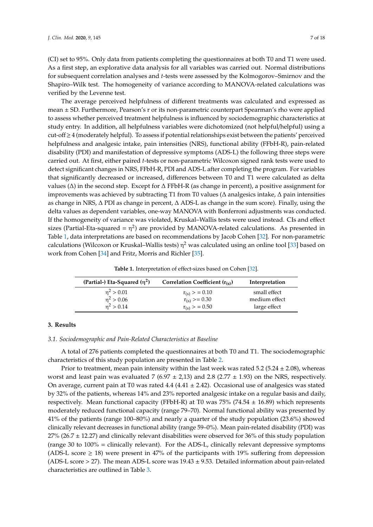(CI) set to 95%. Only data from patients completing the questionnaires at both T0 and T1 were used. As a first step, an explorative data analysis for all variables was carried out. Normal distributions for subsequent correlation analyses and *t*-tests were assessed by the Kolmogorov–Smirnov and the Shapiro–Wilk test. The homogeneity of variance according to MANOVA-related calculations was verified by the Levenne test.

The average perceived helpfulness of different treatments was calculated and expressed as mean ± SD. Furthermore, Pearson's r or its non-parametric counterpart Spearman's rho were applied to assess whether perceived treatment helpfulness is influenced by sociodemographic characteristics at study entry. In addition, all helpfulness variables were dichotomized (not helpful/helpful) using a cut-off ≥ 4 (moderately helpful). To assess if potential relationships exist between the patients' perceived helpfulness and analgesic intake, pain intensities (NRS), functional ability (FFbH-R), pain-related disability (PDI) and manifestation of depressive symptoms (ADS-L) the following three steps were carried out. At first, either paired *t*-tests or non-parametric Wilcoxon signed rank tests were used to detect significant changes in NRS, FFbH-R, PDI and ADS-L after completing the program. For variables that significantly decreased or increased, differences between T0 and T1 were calculated as delta values (∆) in the second step. Except for ∆ FFbH-R (as change in percent), a positive assignment for improvements was achieved by subtracting T1 from T0 values (∆ analgesics intake, ∆ pain intensities as change in NRS, ∆ PDI as change in percent, ∆ ADS-L as change in the sum score). Finally, using the delta values as dependent variables, one-way MANOVA with Bonferroni adjustments was conducted. If the homogeneity of variance was violated, Kruskal–Wallis tests were used instead. CIs and effect sizes (Partial-Eta-squared =  $\eta^2$ ) are provided by MANOVA-related calculations. As presented in Table [1,](#page-6-0) data interpretations are based on recommendations by Jacob Cohen [\[32\]](#page-16-16). For non-parametric calculations (Wilcoxon or Kruskal–Wallis tests)  $\eta^2$  was calculated using an online tool [\[33\]](#page-16-17) based on work from Cohen [\[34\]](#page-16-18) and Fritz, Morris and Richler [\[35\]](#page-16-19).

**Table 1.** Interpretation of effect-sizes based on Cohen [\[32\]](#page-16-16).

<span id="page-6-0"></span>

| (Partial-) Eta-Squared $(\eta^2)$ | Correlation Coefficient $(r_{(s)})$ | Interpretation |
|-----------------------------------|-------------------------------------|----------------|
| $\eta^2 > 0.01$                   | $r_{(s)} > 0.10$                    | small effect   |
| $\eta^2 > 0.06$                   | $r_{(s)} > = 0.30$                  | medium effect  |
| $n^2 > 0.14$                      | $r_{(s)} > 0.50$                    | large effect   |

## **3. Results**

## *3.1. Sociodemographic and Pain-Related Characteristics at Baseline*

A total of 276 patients completed the questionnaires at both T0 and T1. The sociodemographic characteristics of this study population are presented in Table [2.](#page-7-0)

Prior to treatment, mean pain intensity within the last week was rated 5.2 (5.24  $\pm$  2.08), whereas worst and least pain was evaluated 7 (6.97  $\pm$  2,13) and 2.8 (2.77  $\pm$  1.93) on the NRS, respectively. On average, current pain at T0 was rated  $4.4 (4.41 \pm 2.42)$ . Occasional use of analgesics was stated by 32% of the patients, whereas 14% and 23% reported analgesic intake on a regular basis and daily, respectively. Mean functional capacity (FFbH-R) at T0 was 75% (74.54  $\pm$  16.89) which represents moderately reduced functional capacity (range 79–70). Normal functional ability was presented by 41% of the patients (range 100–80%) and nearly a quarter of the study population (23.6%) showed clinically relevant decreases in functional ability (range 59–0%). Mean pain-related disability (PDI) was  $27\%$  (26.7  $\pm$  12.27) and clinically relevant disabilities were observed for 36% of this study population (range 30 to 100% = clinically relevant). For the ADS-L, clinically relevant depressive symptoms (ADS-L score  $\geq$  18) were present in 47% of the participants with 19% suffering from depression (ADS-L score  $>$  27). The mean ADS-L score was 19.43  $\pm$  9.53. Detailed information about pain-related characteristics are outlined in Table [3.](#page-7-1)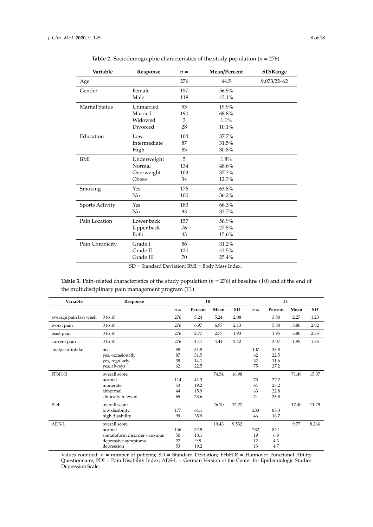<span id="page-7-0"></span>

| Variable              | Response       | $n =$ | Mean/Percent | SD/Range        |
|-----------------------|----------------|-------|--------------|-----------------|
| Age                   |                | 276   | 44.5         | $9.073/22 - 62$ |
| Gender                | Female         | 157   | 56.9%        |                 |
|                       | Male           | 119   | 43.1%        |                 |
| <b>Marital Status</b> | Unmarried      | 55    | 19.9%        |                 |
|                       | Married        | 190   | 68.8%        |                 |
|                       | Widowed        | 3     | 1.1%         |                 |
|                       | Divorced       | 28    | 10.1%        |                 |
| Education             | Low            | 104   | 37.7%        |                 |
|                       | Intermediate   | 87    | 31.5%        |                 |
|                       | High           | 85    | 30.8%        |                 |
| <b>BMI</b>            | Underweight    | 5     | 1.8%         |                 |
|                       | Normal         | 134   | 48.6%        |                 |
|                       | Overweight     | 103   | 37.3%        |                 |
|                       | Obese          | 34    | 12.3%        |                 |
| Smoking               | Yes            | 176   | 63.8%        |                 |
|                       | N <sub>o</sub> | 100   | 36.2%        |                 |
| Sports Activity       | Yes            | 183   | 66.3%        |                 |
|                       | No             | 93    | 33.7%        |                 |
| Pain Location         | Lower back     | 157   | 56.9%        |                 |
|                       | Upper back     | 76    | 27.5%        |                 |
|                       | Both           | 43    | 15.6%        |                 |
| Pain Chronicity       | Grade I        | 86    | 31.2%        |                 |
|                       | Grade II       | 120   | 43.5%        |                 |
|                       | Grade III      | 70    | 25.4%        |                 |

**Table 2.** Sociodemographic characteristics of the study population ( $n = 276$ ).

SD = Standard Deviation; BMI = Body Mass Index.

<span id="page-7-1"></span>**Table 3.** Pain-related characteristics of the study population (*n* = 276) at baseline (T0) and at the end of the multidisciplinary pain management program (T1).

| Variable               | Response                      | T <sub>0</sub> |         |       |       | <b>T1</b> |         |       |       |
|------------------------|-------------------------------|----------------|---------|-------|-------|-----------|---------|-------|-------|
|                        |                               | $n =$          | Percent | Mean  | SD    | $n =$     | Percent | Mean  | SD    |
| average pain last week | $0$ to $10$                   | 276            | 5.24    | 5.24  | 2.08  |           | 3.80    | 2.27  | 1.23  |
| worst pain             | $0$ to $10$                   | 276            | 6.97    | 6.97  | 2.13  |           | 5.80    | 3.80  | 2.02  |
| least pain             | $0$ to $10$                   | 276            | 2.77    | 2.77  | 1.93  |           | 1.95    | 5.80  | 2.35  |
| current pain           | $0$ to $10$                   | 276            | 4.41    | 4.41  | 2.42  |           | 3.07    | 1.95  | 1.85  |
| analgesic intake       | no                            | 88             | 31.9    |       |       | 107       | 38.8    |       |       |
|                        | yes, occasionally             | 87             | 31.5    |       |       | 62        | 22.5    |       |       |
|                        | yes, regularly                | 39             | 14.1    |       |       | 32        | 11.6    |       |       |
|                        | yes, always                   | 62             | 22.5    |       |       | 75        | 27.2    |       |       |
| FFbH-R                 | overall score                 |                |         | 74.54 | 16.98 |           |         | 71.49 | 15.07 |
|                        | normal                        | 114            | 41.3    |       |       | 75        | 27.2    |       |       |
|                        | moderate                      | 53             | 19.2    |       |       | 64        | 23.2    |       |       |
|                        | abnormal                      | 44             | 15.9    |       |       | 63        | 22.8    |       |       |
|                        | clinically relevant           | 65             | 23.6    |       |       | 74        | 26.8    |       |       |
| PDI                    | overall score                 |                |         | 26.70 | 12.27 |           |         | 17.40 | 11.79 |
|                        | low disability                | 177            | 64.1    |       |       | 230       | 83.3    |       |       |
|                        | high disability               | 99             | 35.9    |       |       | 46        | 16.7    |       |       |
| ADS-L                  | overall score                 |                |         | 19.43 | 9.532 |           |         | 9.77  | 8.266 |
|                        | normal                        | 146            | 52.9    |       |       | 232       | 84.1    |       |       |
|                        | somatoform disorder - anxious | 50             | 18.1    |       |       | 19        | 6.9     |       |       |
|                        | depressive symptoms           | 27             | 9.8     |       |       | 12        | 4.3     |       |       |
|                        | depression                    | 53             | 19.2    |       |       | 13        | 4.7     |       |       |

Values rounded;  $n =$  number of patients; SD = Standard Deviation; FFbH-R = Hannover Functional Ability Questionnaire; PDI = Pain Disability Index; ADS-L = German Version of the Center for Epidemiologic Studies Depression Scale.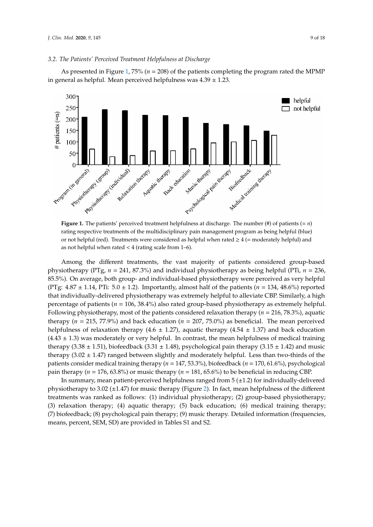As presented in Figure [1,](#page-8-0) 75% (*n* = 208) of the patients completing the program rated the MPMP As presented in Figure 1, 75% (*n* = 208) of the patients completing the program rated the MPMP in general as helpful. Mean perceived helpfulness was 4.39 ± 1.23. in general as helpful. Mean perceived helpfulness was 4.39 ± 1.23.

<span id="page-8-0"></span>

rating respective treatments of the multidisciplinary pain management program as being helpful (blue) or not helpful (red). Treatments were considered as helpful when rated  $\geq 4$  (= moderately helpful) and as not helpful when rated < 4 (rating scale from 1–6). **Figure 1.** The patients' perceived treatment helpfulness at discharge. The number (#) of patients  $(= n)$ 

helpful) and as not helpful when rated < 4 (rating scale from 1–6).

physiotherapy (PTg,  $n = 241$ , 87.3%) and individual physiotherapy as being helpful (PTi,  $n = 236$ , 85.5%). On average, both group- and individual-based physiotherapy were perceived as very helpful (PTg:  $4.87 \pm 1.14$ , PTi:  $5.0 \pm 1.2$ ). Importantly, almost half of the patients ( $n = 134$ , 48.6%) reported that individually-delivered physiotherapy was extremely helpful to alleviate CBP. Similarly, a high percentage of patients (*n* = 106, 38.4%) also rated group-based physiotherapy as extremely helpful. Following physiotherapy, most of the patients considered relaxation therapy (*n* = 216, 78.3%), aquatic therapy ( $n = 215$ , 77.9%) and back education ( $n = 207$ , 75.0%) as beneficial. The mean perceived helpfulness of relaxation therapy (4.6  $\pm$  1.27), aquatic therapy (4.54  $\pm$  1.37) and back education  $(4.43 \pm 1.3)$  was moderately or very helpful. In contrast, the mean helpfulness of medical training therapy (3.38  $\pm$  1.51), biofeedback (3.31  $\pm$  1.48), psychological pain therapy (3.15  $\pm$  1.42) and music therapy (3.02  $\pm$  1.47) ranged between slightly and moderately helpful. Less than two-thirds of the patients consider medical training therapy (*n* = 147, 53.3%), biofeedback (*n* = 170, 61.6%), psychological pain therapy ( $n = 176$ , 63.8%) or music therapy ( $n = 181$ , 65.6%) to be beneficial in reducing CBP. Among the different treatments, the vast majority of patients considered group-based

In summary, mean patient-perceived helpfulness ranged from 5 (±1.2) for individually-delivered physiotherapy to 3.02 (±1.47) for music therapy (Figure [2\)](#page-9-0). In fact, mean helpfulness of the different treatments was ranked as follows: (1) individual physiotherapy; (2) group-based physiotherapy; (3) relaxation therapy; (4) aquatic therapy; (5) back education; (6) medical training therapy; (7) biofeedback; (8) psychological pain therapy; (9) music therapy. Detailed information (frequencies, means, percent, SEM, SD) are provided in Tables S1 and S2.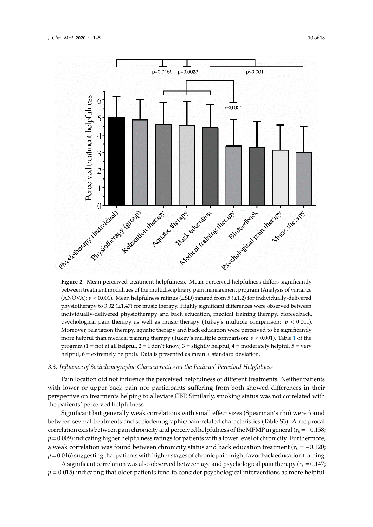<span id="page-9-0"></span>

between treatment modalities of the multidisciplinary pain management program (Analysis of variance (ANOVA):  $p < 0.001$ ). Mean helpfulness ratings ( $\pm$ SD) ranged from 5 ( $\pm$ 1.2) for individually-delivered physiotherapy to 3.02 (±1.47) for music therapy. Highly significant differences were observed between individually-delivered physiotherapy and back education, medical training therapy, biofeedback, psychological pain therapy as well as music therapy (Tukey's multiple comparison:  $p < 0.001$ ). Moreover, relaxation therapy, aquatic therapy and back education were perceived to be significantly more helpful than medical training therapy (Tukey's multiple comparison:  $p < 0.001$  $p < 0.001$ ). Table 1 of the program (1 = not at all helpful, 2 = I don't know, 3 = slightly helpful, 4 = moderately helpful, 5 = very helpful, 6 = extremely helpful). Data is presented as mean ± standard deviation. **Figure 2.** Mean perceived treatment helpfulness. Mean perceived helpfulness differs significantly

# 3.3. Influence of Sociodemographic Characteristics on the Patients' Perceived Helpfulness

with lower or upper back pain nor participants suffering from both showed differences in their perspective on treatments helping to alleviate CBP. Similarly, smoking status was not correlated with the patients' perceived helpfulness. Pain location did not influence the perceived helpfulness of different treatments. Neither patients

Significant but generally weak correlations with small effect sizes (Spearman's rho) were found between several treatments and sociodemographic/pain-related characteristics (Table S3). A reciprocal correlation exists between pain chronicity and perceived helpfulness of the MPMP in general ( $r_s = -0.158$ ;  $p = 0.009$ ) indicating higher helpfulness ratings for patients with a lower level of chronicity. Furthermore, a weak correlation was found between chronicity status and back education treatment ( $r_s = -0.120$ ;  $p = 0.046$ ) suggesting that patients with higher stages of chronic pain might favor back education training.

A significant correlation was also observed between age and psychological pain therapy ( $r_s = 0.147$ ;  $p = 0.015$ ) indicating that older patients tend to consider psychological interventions as more helpful.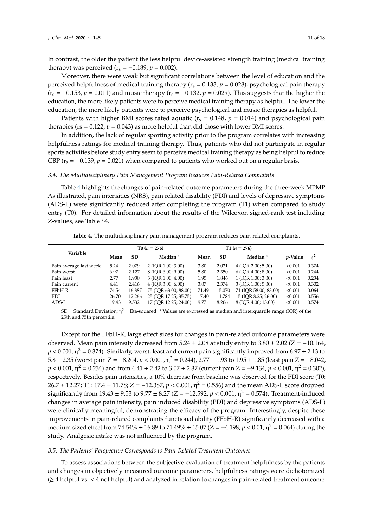In contrast, the older the patient the less helpful device-assisted strength training (medical training therapy) was perceived  $(r_s = -0.189; p = 0.002)$ .

Moreover, there were weak but significant correlations between the level of education and the perceived helpfulness of medical training therapy ( $r_s = 0.133$ ,  $p = 0.028$ ), psychological pain therapy  $(r<sub>s</sub> = -0.153, p = 0.011)$  and music therapy  $(r<sub>s</sub> = -0.132, p = 0.029)$ . This suggests that the higher the education, the more likely patients were to perceive medical training therapy as helpful. The lower the education, the more likely patients were to perceive psychological and music therapies as helpful.

Patients with higher BMI scores rated aquatic ( $r_s = 0.148$ ,  $p = 0.014$ ) and psychological pain therapies ( $rs = 0.122$ ,  $p = 0.043$ ) as more helpful than did those with lower BMI scores.

In addition, the lack of regular sporting activity prior to the program correlates with increasing helpfulness ratings for medical training therapy. Thus, patients who did not participate in regular sports activities before study entry seem to perceive medical training therapy as being helpful to reduce CBP ( $r_s = -0.139$ ,  $p = 0.021$ ) when compared to patients who worked out on a regular basis.

#### *3.4. The Multidisciplinary Pain Management Program Reduces Pain-Related Complaints*

Table [4](#page-10-0) highlights the changes of pain-related outcome parameters during the three-week MPMP. As illustrated, pain intensities (NRS), pain related disability (PDI) and levels of depressive symptoms (ADS-L) were significantly reduced after completing the program (T1) when compared to study entry (T0). For detailed information about the results of the Wilcoxon signed-rank test including Z-values, see Table S4.

<span id="page-10-0"></span>

|                        | $T0(n = 276)$ |           |                       |                   | $T1 (n = 276)$ |                         |                 |       |
|------------------------|---------------|-----------|-----------------------|-------------------|----------------|-------------------------|-----------------|-------|
| Variable               |               |           |                       |                   |                |                         |                 |       |
|                        | Mean          | <b>SD</b> | Median <sup>*</sup>   | <b>SD</b><br>Mean |                | Median <sup>*</sup>     | <i>p</i> -Value | $n^2$ |
| Pain average last week | 5.24          | 2.079     | $2$ (IOR 1.00; 3.00)  | 3.80              | 2.021          | $4$ (IOR 2.00; 5.00)    | < 0.001         | 0.374 |
| Pain worst             | 6.97          | 2.127     | 8 (IOR 6.00; 9.00)    | 5.80              | 2.350          | $6$ (IOR 4.00; 8.00)    | < 0.001         | 0.244 |
| Pain least             | 2.77          | 1.930     | 3 (IOR 1.00; 4.00)    | 1.95              | 1.846          | $1$ (IOR $1.00; 3.00$ ) | < 0.001         | 0.234 |
| Pain current           | 4.41          | 2.416     | $4$ (IOR 3.00; 6.00)  | 3.07              | 2.374          | 3 (IOR 1.00; 5.00)      | < 0.001         | 0.302 |
| FFbH-R                 | 74.54         | 16.887    | 75 (IOR 63.00; 88.00) | 71.49             | 15.070         | 71 (IOR 58.00; 83.00)   | < 0.001         | 0.064 |
| PDI.                   | 26.70         | 12.266    | 25 (IOR 17.25; 35.75) | 17.40             | 11.784         | 15 (IOR 8.25; 26.00)    | < 0.001         | 0.556 |
| ADS-L                  | 19.43         | 9.532     | 17 (IOR 12.25; 24.00) | 9.77              | 8.266          | 8 (IOR 4.00; 13.00)     | < 0.001         | 0.574 |

**Table 4.** The multidisciplinary pain management program reduces pain-related complaints.

 $SD =$  Standard Deviation;  $\eta^2 =$  Eta-squared.  $*$  Values are expressed as median and interquartile range (IQR) of the 25th and 75th percentile.

Except for the FFbH-R, large effect sizes for changes in pain-related outcome parameters were observed. Mean pain intensity decreased from  $5.24 \pm 2.08$  at study entry to  $3.80 \pm 2.02$  (Z = -10.164,  $p < 0.001$ ,  $\eta^2 = 0.374$ ). Similarly, worst, least and current pain significantly improved from 6.97  $\pm$  2.13 to  $5.8 \pm 2.35$  (worst pain Z = −8.204,  $p < 0.001$ , η<sup>2</sup> = 0.244), 2.77  $\pm$  1.93 to 1.95  $\pm$  1.85 (least pain Z = −8.042,  $p < 0.001$ ,  $\eta^2 = 0.234$ ) and from  $4.41 \pm 2.42$  to  $3.07 \pm 2.37$  (current pain  $Z = -9.134$ ,  $p < 0.001$ ,  $\eta^2 = 0.302$ ), respectively. Besides pain intensities, a 10% decrease from baseline was observed for the PDI score (T0: 26.7 ± 12.27; T1: 17.4 ± 11.78; Z = −12.387,  $p$  < 0.001,  $η$ <sup>2</sup> = 0.556) and the mean ADS-L score dropped significantly from 19.43 ± 9.53 to 9.77 ± 8.27 (Z = −12.592,  $p$  < 0.001,  $η$ <sup>2</sup> = 0.574). Treatment-induced changes in average pain intensity, pain induced disability (PDI) and depressive symptoms (ADS-L) were clinically meaningful, demonstrating the efficacy of the program. Interestingly, despite these improvements in pain-related complaints functional ability (FFbH-R) significantly decreased with a medium sized effect from  $74.54\% \pm 16.89$  to  $71.49\% \pm 15.07$  (Z =  $-4.198$ ,  $p < 0.01$ ,  $\eta^2 = 0.064$ ) during the study. Analgesic intake was not influenced by the program.

#### *3.5. The Patients' Perspective Corresponds to Pain-Related Treatment Outcomes*

To assess associations between the subjective evaluation of treatment helpfulness by the patients and changes in objectively measured outcome parameters, helpfulness ratings were dichotomized (≥ 4 helpful vs. < 4 not helpful) and analyzed in relation to changes in pain-related treatment outcome.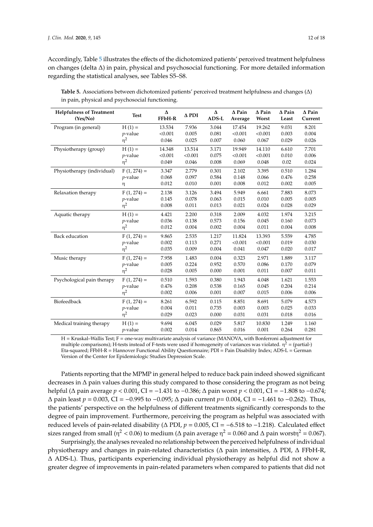Accordingly, Table [5](#page-11-0) illustrates the effects of the dichotomized patients' perceived treatment helpfulness on changes (delta ∆) in pain, physical and psychosocial functioning. For more detailed information regarding the statistical analyses, see Tables S5–S8.

| <b>Helpfulness of Treatment</b><br>(Yes/No) | <b>Test</b>   | Δ<br>FFbH-R | $\Delta$ PDI | Δ<br>ADS-L | $\Delta$ Pain<br>Average | $\Delta$ Pain<br>Worst | $\Delta$ Pain<br>Least | $\Delta$ Pain<br>Current |
|---------------------------------------------|---------------|-------------|--------------|------------|--------------------------|------------------------|------------------------|--------------------------|
| Program (in general)                        | $H(1) =$      | 13.534      | 7.936        | 3.044      | 17.454                   | 19.262                 | 9.031                  | 8.201                    |
|                                             | $p$ -value    | < 0.001     | 0.005        | 0.081      | < 0.001                  | < 0.001                | 0.003                  | 0.004                    |
|                                             | $\eta^2$      | 0.046       | 0.025        | 0.007      | 0.060                    | 0.067                  | 0.029                  | 0.026                    |
| Physiotherapy (group)                       | $H(1) =$      | 14.348      | 13.514       | 3.171      | 19.949                   | 14.110                 | 6.610                  | 7.701                    |
|                                             | $p$ -value    | < 0.001     | < 0.001      | 0.075      | < 0.001                  | < 0.001                | 0.010                  | 0.006                    |
|                                             | $\eta^2$      | 0.049       | 0.046        | 0.008      | 0.069                    | 0.048                  | 0.02                   | 0.024                    |
| Physiotherapy (individual)                  | $F(1, 274) =$ | 3.347       | 2.779        | 0.301      | 2.102                    | 3.395                  | 0.510                  | 1.284                    |
|                                             | $p$ -value    | 0.068       | 0.097        | 0.584      | 0.148                    | 0.066                  | 0.476                  | 0.258                    |
|                                             | η             | 0.012       | 0.010        | 0.001      | 0.008                    | 0.012                  | 0.002                  | 0.005                    |
| Relaxation therapy                          | $F(1, 274) =$ | 2.138       | 3.126        | 3.494      | 5.949                    | 6.661                  | 7.883                  | 8.073                    |
|                                             | $p$ -value    | 0.145       | 0.078        | 0.063      | 0.015                    | 0.010                  | 0.005                  | 0.005                    |
|                                             | $\eta^2$      | 0.008       | 0.011        | 0.013      | 0.021                    | 0.024                  | 0.028                  | 0.029                    |
| Aquatic therapy                             | $H(1) =$      | 4.421       | 2.200        | 0.318      | 2.009                    | 4.032                  | 1.974                  | 3.215                    |
|                                             | $p$ -value    | 0.036       | 0.138        | 0.573      | 0.156                    | 0.045                  | 0.160                  | 0.073                    |
|                                             | $\eta^2$      | 0.012       | 0.004        | 0.002      | 0.004                    | 0.011                  | 0.004                  | 0.008                    |
| <b>Back education</b>                       | $F(1, 274) =$ | 9.865       | 2.535        | 1.217      | 11.824                   | 13.393                 | 5.559                  | 4.785                    |
|                                             | $p$ -value    | 0.002       | 0.113        | 0.271      | < 0.001                  | < 0.001                | 0.019                  | 0.030                    |
|                                             | $\eta^2$      | 0.035       | 0.009        | 0.004      | 0.041                    | 0.047                  | 0.020                  | 0.017                    |
| Music therapy                               | $F(1, 274) =$ | 7.958       | 1.483        | 0.004      | 0.323                    | 2.971                  | 1.889                  | 3.117                    |
|                                             | $p$ -value    | 0.005       | 0.224        | 0.952      | 0.570                    | 0.086                  | 0.170                  | 0.079                    |
|                                             | $\eta^2$      | 0.028       | 0.005        | 0.000      | 0.001                    | 0.011                  | 0.007                  | 0.011                    |
| Psychological pain therapy                  | $F(1, 274) =$ | 0.510       | 1.593        | 0.380      | 1.943                    | 4.048                  | 1.621                  | 1.553                    |
|                                             | $p$ -value    | 0.476       | 0.208        | 0.538      | 0.165                    | 0.045                  | 0.204                  | 0.214                    |
|                                             | $\eta^2$      | 0.002       | 0.006        | 0.001      | 0.007                    | 0.015                  | 0.006                  | 0.006                    |
| Biofeedback                                 | $F(1, 274) =$ | 8.261       | 6.592        | 0.115      | 8.851                    | 8.691                  | 5.079                  | 4.573                    |
|                                             | $p$ -value    | 0.004       | 0.011        | 0.735      | 0.003                    | 0.003                  | 0.025                  | 0.033                    |
|                                             | $\eta^2$      | 0.029       | 0.023        | 0.000      | 0.031                    | 0.031                  | 0.018                  | 0.016                    |
| Medical training therapy                    | $H(1) =$      | 9.694       | 6.045        | 0.029      | 5.817                    | 10.830                 | 1.249                  | 1.160                    |
|                                             | $p$ -value    | 0.002       | 0.014        | 0.865      | 0.016                    | 0.001                  | 0.264                  | 0.281                    |

<span id="page-11-0"></span>**Table 5.** Associations between dichotomized patients' perceived treatment helpfulness and changes (∆) in pain, physical and psychosocial functioning.

H = Kruskal–Wallis Test; F = one-way multivariate analysis of variance (MANOVA, with Bonferroni adjustment for multiple comparisons); H-tests instead of F-tests were used if homogeneity of variances was violated.  $\eta^2$  = (partial-) Eta-squared; FFbH-R = Hannover Functional Ability Questionnaire; PDI = Pain Disability Index; ADS-L = German Version of the Center for Epidemiologic Studies Depression Scale.

Patients reporting that the MPMP in general helped to reduce back pain indeed showed significant decreases in ∆ pain values during this study compared to those considering the program as not being helpful (∆ pain average *p* < 0.001, CI = −1.431 to −0.386; ∆ pain worst *p* < 0.001, CI = −1.808 to −0.674; ∆ pain least *p* = 0.003, CI = −0.995 to −0.095; ∆ pain current *p*= 0.004, CI = −1.461 to −0.262). Thus, the patients' perspective on the helpfulness of different treatments significantly corresponds to the degree of pain improvement. Furthermore, perceiving the program as helpful was associated with reduced levels of pain-related disability (∆ PDI, *p* = 0.005, CI = −6.518 to −1.218). Calculated effect sizes ranged from small (η<sup>2</sup> < 0.06) to medium (Δ pain average η<sup>2</sup> = 0.060 and Δ pain worstη<sup>2</sup> = 0.067).

Surprisingly, the analyses revealed no relationship between the perceived helpfulness of individual physiotherapy and changes in pain-related characteristics (∆ pain intensities, ∆ PDI, ∆ FFbH-R, ∆ ADS-L). Thus, participants experiencing individual physiotherapy as helpful did not show a greater degree of improvements in pain-related parameters when compared to patients that did not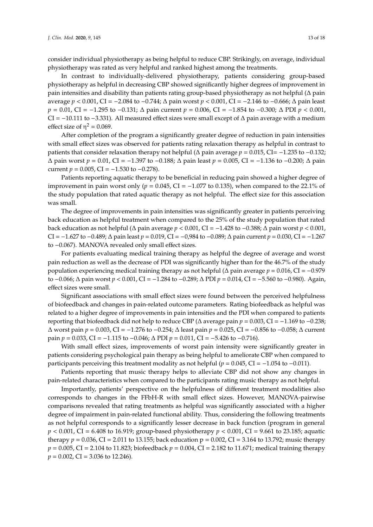consider individual physiotherapy as being helpful to reduce CBP. Strikingly, on average, individual physiotherapy was rated as very helpful and ranked highest among the treatments.

In contrast to individually-delivered physiotherapy, patients considering group-based physiotherapy as helpful in decreasing CBP showed significantly higher degrees of improvement in pain intensities and disability than patients rating group-based physiotherapy as not helpful (∆ pain average *p* < 0.001, CI = −2.084 to −0.744; ∆ pain worst *p* < 0.001, CI = −2.146 to −0.666; ∆ pain least *p* = 0.01, CI = −1.295 to −0.131;  $\Delta$  pain current *p* = 0.006, CI = −1.854 to −0.300;  $\Delta$  PDI *p* < 0.001, CI = −10.111 to −3.331). All measured effect sizes were small except of ∆ pain average with a medium effect size of  $\eta^2 = 0.069$ .

After completion of the program a significantly greater degree of reduction in pain intensities with small effect sizes was observed for patients rating relaxation therapy as helpful in contrast to patients that consider relaxation therapy not helpful (∆ pain average *p* = 0.015, CI= −1.235 to −0.132; ∆ pain worst *p* = 0.01, CI = −1.397 to −0.188; ∆ pain least *p* = 0.005, CI = −1.136 to −0.200; ∆ pain current  $p = 0.005$ , CI =  $-1.530$  to  $-0.278$ ).

Patients reporting aquatic therapy to be beneficial in reducing pain showed a higher degree of improvement in pain worst only ( $p = 0.045$ , CI =  $-1.077$  to 0.135), when compared to the 22.1% of the study population that rated aquatic therapy as not helpful. The effect size for this association was small.

The degree of improvements in pain intensities was significantly greater in patients perceiving back education as helpful treatment when compared to the 25% of the study population that rated back education as not helpful (∆ pain average *p* < 0.001, CI = −1.428 to −0.388; ∆ pain worst *p* < 0.001, CI = −1.627 to −0.489; ∆ pain least *p* = 0.019, CI = −0,984 to −0.089; ∆ pain current *p* = 0.030, CI = −1.267 to −0.067). MANOVA revealed only small effect sizes.

For patients evaluating medical training therapy as helpful the degree of average and worst pain reduction as well as the decrease of PDI was significantly higher than for the 46.7% of the study population experiencing medical training therapy as not helpful (∆ pain average *p* = 0.016, CI = −0.979 to −0.066; ∆ pain worst *p* < 0.001, CI = −1.284 to −0.289; ∆ PDI *p* = 0.014, CI = −5.560 to −0.980). Again, effect sizes were small.

Significant associations with small effect sizes were found between the perceived helpfulness of biofeedback and changes in pain-related outcome parameters. Rating biofeedback as helpful was related to a higher degree of improvements in pain intensities and the PDI when compared to patients reporting that biofeedback did not help to reduce CBP (∆ average pain *p* = 0.003, CI = −1.169 to −0.238; ∆ worst pain *p* = 0.003, CI = −1.276 to −0.254; ∆ least pain *p* = 0.025, CI = −0.856 to −0.058; ∆ current pain *p* = 0.033, CI = −1.115 to −0.046; ∆ PDI *p* = 0.011, CI = −5.426 to −0.716).

With small effect sizes, improvements of worst pain intensity were significantly greater in patients considering psychological pain therapy as being helpful to ameliorate CBP when compared to participants perceiving this treatment modality as not helpful ( $p = 0.045$ , CI = −1.054 to −0.011).

Patients reporting that music therapy helps to alleviate CBP did not show any changes in pain-related characteristics when compared to the participants rating music therapy as not helpful.

Importantly, patients' perspective on the helpfulness of different treatment modalities also corresponds to changes in the FFbH-R with small effect sizes. However, MANOVA-pairwise comparisons revealed that rating treatments as helpful was significantly associated with a higher degree of impairment in pain-related functional ability. Thus, considering the following treatments as not helpful corresponds to a significantly lesser decrease in back function (program in general *p* < 0.001, CI = 6.408 to 16.919; group-based physiotherapy *p* < 0.001, CI = 9.661 to 23.185; aquatic therapy  $p = 0.036$ , CI = 2.011 to 13.155; back education  $p = 0.002$ , CI = 3.164 to 13.792; music therapy  $p = 0.005$ , CI = 2.104 to 11.823; biofeedback  $p = 0.004$ , CI = 2.182 to 11.671; medical training therapy *p* = 0.002, CI = 3.036 to 12.246).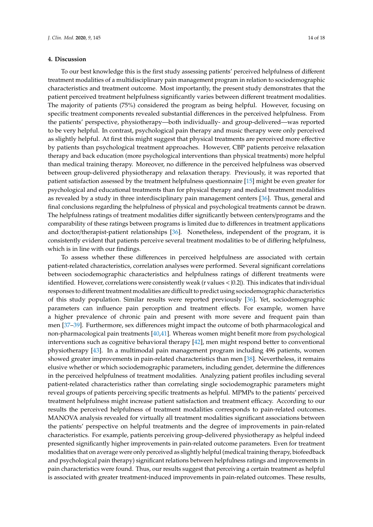## **4. Discussion**

To our best knowledge this is the first study assessing patients' perceived helpfulness of different treatment modalities of a multidisciplinary pain management program in relation to sociodemographic characteristics and treatment outcome. Most importantly, the present study demonstrates that the patient perceived treatment helpfulness significantly varies between different treatment modalities. The majority of patients (75%) considered the program as being helpful. However, focusing on specific treatment components revealed substantial differences in the perceived helpfulness. From the patients' perspective, physiotherapy—both individually- and group-delivered—was reported to be very helpful. In contrast, psychological pain therapy and music therapy were only perceived as slightly helpful. At first this might suggest that physical treatments are perceived more effective by patients than psychological treatment approaches. However, CBP patients perceive relaxation therapy and back education (more psychological interventions than physical treatments) more helpful than medical training therapy. Moreover, no difference in the perceived helpfulness was observed between group-delivered physiotherapy and relaxation therapy. Previously, it was reported that patient satisfaction assessed by the treatment helpfulness questionnaire [\[15\]](#page-16-0) might be even greater for psychological and educational treatments than for physical therapy and medical treatment modalities as revealed by a study in three interdisciplinary pain management centers [\[36\]](#page-16-20). Thus, general and final conclusions regarding the helpfulness of physical and psychological treatments cannot be drawn. The helpfulness ratings of treatment modalities differ significantly between centers/programs and the comparability of these ratings between programs is limited due to differences in treatment applications and doctor/therapist-patient relationships [\[36\]](#page-16-20). Nonetheless, independent of the program, it is consistently evident that patients perceive several treatment modalities to be of differing helpfulness, which is in line with our findings.

To assess whether these differences in perceived helpfulness are associated with certain patient-related characteristics, correlation analyses were performed. Several significant correlations between sociodemographic characteristics and helpfulness ratings of different treatments were identified. However, correlations were consistently weak (r values  $\langle 0.2|$ ). This indicates that individual responses to different treatment modalities are difficult to predict using sociodemographic characteristics of this study population. Similar results were reported previously [\[36\]](#page-16-20). Yet, sociodemographic parameters can influence pain perception and treatment effects. For example, women have a higher prevalence of chronic pain and present with more severe and frequent pain than men [\[37](#page-16-21)[–39\]](#page-16-22). Furthermore, sex differences might impact the outcome of both pharmacological and non-pharmacological pain treatments [\[40](#page-17-0)[,41\]](#page-17-1). Whereas women might benefit more from psychological interventions such as cognitive behavioral therapy [\[42\]](#page-17-2), men might respond better to conventional physiotherapy [\[43\]](#page-17-3). In a multimodal pain management program including 496 patients, women showed greater improvements in pain-related characteristics than men [\[38\]](#page-16-23). Nevertheless, it remains elusive whether or which sociodemographic parameters, including gender, determine the differences in the perceived helpfulness of treatment modalities. Analyzing patient profiles including several patient-related characteristics rather than correlating single sociodemographic parameters might reveal groups of patients perceiving specific treatments as helpful. MPMPs to the patients' perceived treatment helpfulness might increase patient satisfaction and treatment efficacy. According to our results the perceived helpfulness of treatment modalities corresponds to pain-related outcomes. MANOVA analysis revealed for virtually all treatment modalities significant associations between the patients' perspective on helpful treatments and the degree of improvements in pain-related characteristics. For example, patients perceiving group-delivered physiotherapy as helpful indeed presented significantly higher improvements in pain-related outcome parameters. Even for treatment modalities that on average were only perceived as slightly helpful (medical training therapy, biofeedback and psychological pain therapy) significant relations between helpfulness ratings and improvements in pain characteristics were found. Thus, our results suggest that perceiving a certain treatment as helpful is associated with greater treatment-induced improvements in pain-related outcomes. These results,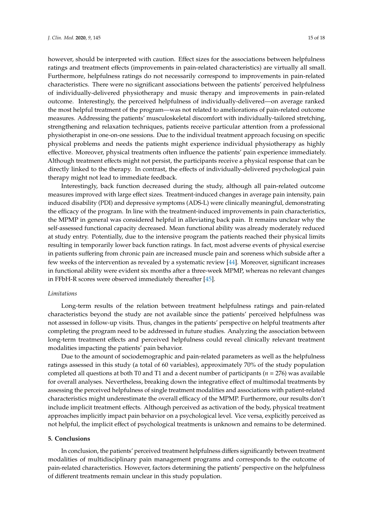however, should be interpreted with caution. Effect sizes for the associations between helpfulness ratings and treatment effects (improvements in pain-related characteristics) are virtually all small. Furthermore, helpfulness ratings do not necessarily correspond to improvements in pain-related characteristics. There were no significant associations between the patients' perceived helpfulness of individually-delivered physiotherapy and music therapy and improvements in pain-related outcome. Interestingly, the perceived helpfulness of individually-delivered—on average ranked the most helpful treatment of the program—was not related to ameliorations of pain-related outcome measures. Addressing the patients' musculoskeletal discomfort with individually-tailored stretching, strengthening and relaxation techniques, patients receive particular attention from a professional physiotherapist in one-on-one sessions. Due to the individual treatment approach focusing on specific physical problems and needs the patients might experience individual physiotherapy as highly effective. Moreover, physical treatments often influence the patients' pain experience immediately. Although treatment effects might not persist, the participants receive a physical response that can be directly linked to the therapy. In contrast, the effects of individually-delivered psychological pain therapy might not lead to immediate feedback.

Interestingly, back function decreased during the study, although all pain-related outcome measures improved with large effect sizes. Treatment-induced changes in average pain intensity, pain induced disability (PDI) and depressive symptoms (ADS-L) were clinically meaningful, demonstrating the efficacy of the program. In line with the treatment-induced improvements in pain characteristics, the MPMP in general was considered helpful in alleviating back pain. It remains unclear why the self-assessed functional capacity decreased. Mean functional ability was already moderately reduced at study entry. Potentially, due to the intensive program the patients reached their physical limits resulting in temporarily lower back function ratings. In fact, most adverse events of physical exercise in patients suffering from chronic pain are increased muscle pain and soreness which subside after a few weeks of the intervention as revealed by a systematic review [\[44\]](#page-17-4). Moreover, significant increases in functional ability were evident six months after a three-week MPMP, whereas no relevant changes in FFbH-R scores were observed immediately thereafter [\[45\]](#page-17-5).

## *Limitations*

Long-term results of the relation between treatment helpfulness ratings and pain-related characteristics beyond the study are not available since the patients' perceived helpfulness was not assessed in follow-up visits. Thus, changes in the patients' perspective on helpful treatments after completing the program need to be addressed in future studies. Analyzing the association between long-term treatment effects and perceived helpfulness could reveal clinically relevant treatment modalities impacting the patients' pain behavior.

Due to the amount of sociodemographic and pain-related parameters as well as the helpfulness ratings assessed in this study (a total of 60 variables), approximately 70% of the study population completed all questions at both T0 and T1 and a decent number of participants (*n* = 276) was available for overall analyses. Nevertheless, breaking down the integrative effect of multimodal treatments by assessing the perceived helpfulness of single treatment modalities and associations with patient-related characteristics might underestimate the overall efficacy of the MPMP. Furthermore, our results don't include implicit treatment effects. Although perceived as activation of the body, physical treatment approaches implicitly impact pain behavior on a psychological level. Vice versa, explicitly perceived as not helpful, the implicit effect of psychological treatments is unknown and remains to be determined.

#### **5. Conclusions**

In conclusion, the patients' perceived treatment helpfulness differs significantly between treatment modalities of multidisciplinary pain management programs and corresponds to the outcome of pain-related characteristics. However, factors determining the patients' perspective on the helpfulness of different treatments remain unclear in this study population.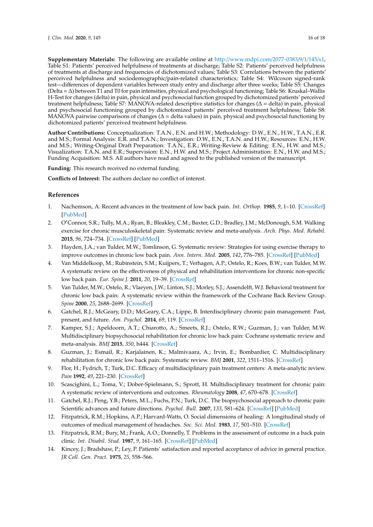**Supplementary Materials:** The following are available online at http://[www.mdpi.com](http://www.mdpi.com/2077-0383/9/1/145/s1)/2077-0383/9/1/145/s1, Table S1: Patients' perceived helpfulness of treatments at discharge; Table S2: Patients' perceived helpfulness of treatments at discharge and frequencies of dichotomized values; Table S3: Correlations between the patients' perceived helpfulness and sociodemographic/pain-related characteristics; Table S4: Wilcoxon signed-rank test—differences of dependent variables between study entry and discharge after three weeks; Table S5: Changes (Delta = ∆) between T1 and T0 for pain intensities, physical and psychological functioning; Table S6: Kruskal–Wallis H-Test for changes (delta) in pain, physical and psychosocial function grouped by dichotomized patients' perceived treatment helpfulness; Table S7: MANOVA-related descriptive statistics for changes (∆ = delta) in pain, physical and psychosocial functioning grouped by dichotomized patients' perceived treatment helpfulness; Table S8: MANOVA pairwise comparisons of changes (∆ = delta values) in pain, physical and psychosocial functioning by dichotomized patients' perceived treatment helpfulness.

**Author Contributions:** Conceptualization: T.A.N., E.N. and H.W.; Methodology: D.W., E.N., H.W., T.A.N., E.R. and M.S.; Formal Analysis: E.R. and T.A.N.; Investigation: D.W., E.N., T.A.N. and H.W.; Resources: E.N., H.W. and M.S.; Writing-Original Draft Preparation: T.A.N., E.R.; Writing-Review & Editing: E.N., H.W. and M.S.; Visualization: T.A.N. and E.R.; Supervision: E.N., H.W. and M.S.; Project Administration: E.N., H.W. and M.S.; Funding Acquisition: M.S. All authors have read and agreed to the published version of the manuscript.

**Funding:** This research received no external funding.

**Conflicts of Interest:** The authors declare no conflict of interest.

## **References**

- <span id="page-15-0"></span>1. Nachemson, A. Recent advances in the treatment of low back pain. *Int. Orthop.* **1985**, *9*, 1–10. [\[CrossRef\]](http://dx.doi.org/10.1007/BF00267031) [\[PubMed\]](http://www.ncbi.nlm.nih.gov/pubmed/3160675)
- <span id="page-15-1"></span>2. O'Connor, S.R.; Tully, M.A.; Ryan, B.; Bleakley, C.M.; Baxter, G.D.; Bradley, J.M.; McDonough, S.M. Walking exercise for chronic musculoskeletal pain: Systematic review and meta-analysis. *Arch. Phys. Med. Rehabil.* **2015**, *96*, 724–734. [\[CrossRef\]](http://dx.doi.org/10.1016/j.apmr.2014.12.003) [\[PubMed\]](http://www.ncbi.nlm.nih.gov/pubmed/25529265)
- <span id="page-15-2"></span>3. Hayden, J.A.; van Tulder, M.W.; Tomlinson, G. Systematic review: Strategies for using exercise therapy to improve outcomes in chronic low back pain. *Ann. Intern. Med.* **2005**, *142*, 776–785. [\[CrossRef\]](http://dx.doi.org/10.7326/0003-4819-142-9-200505030-00014) [\[PubMed\]](http://www.ncbi.nlm.nih.gov/pubmed/15867410)
- <span id="page-15-3"></span>4. Van Middelkoop, M.; Rubinstein, S.M.; Kuijpers, T.; Verhagen, A.P.; Ostelo, R.; Koes, B.W.; van Tulder, M.W. A systematic review on the effectiveness of physical and rehabilitation interventions for chronic non-specific low back pain. *Eur. Spine J.* **2011**, *20*, 19–39. [\[CrossRef\]](http://dx.doi.org/10.1007/s00586-010-1518-3)
- <span id="page-15-4"></span>5. Van Tulder, M.W.; Ostelo, R.; Vlaeyen, J.W.; Linton, S.J.; Morley, S.J.; Assendelft, W.J. Behavioral treatment for chronic low back pain: A systematic review within the framework of the Cochrane Back Review Group. *Spine* **2000**, *25*, 2688–2699. [\[CrossRef\]](http://dx.doi.org/10.1097/00007632-200010150-00024)
- <span id="page-15-5"></span>6. Gatchel, R.J.; McGeary, D.D.; McGeary, C.A.; Lippe, B. Interdisciplinary chronic pain management: Past, present, and future. *Am. Psychol.* **2014**, *69*, 119. [\[CrossRef\]](http://dx.doi.org/10.1037/a0035514)
- <span id="page-15-6"></span>7. Kamper, S.J.; Apeldoorn, A.T.; Chiarotto, A.; Smeets, R.J.; Ostelo, R.W.; Guzman, J.; van Tulder, M.W. Multidisciplinary biopsychosocial rehabilitation for chronic low back pain: Cochrane systematic review and meta-analysis. *BMJ* **2015**, *350*, h444. [\[CrossRef\]](http://dx.doi.org/10.1136/bmj.h444)
- 8. Guzman, J.; Esmail, R.; Karjalainen, K.; Malmivaara, A.; Irvin, E.; Bombardier, C. Multidisciplinary rehabilitation for chronic low back pain: Systematic review. *BMJ* **2001**, *322*, 1511–1516. [\[CrossRef\]](http://dx.doi.org/10.1136/bmj.322.7301.1511)
- 9. Flor, H.; Fydrich, T.; Turk, D.C. Efficacy of multidisciplinary pain treatment centers: A meta-analytic review. *Pain* **1992**, *49*, 221–230. [\[CrossRef\]](http://dx.doi.org/10.1016/0304-3959(92)90145-2)
- <span id="page-15-7"></span>10. Scascighini, L.; Toma, V.; Dober-Spielmann, S.; Sprott, H. Multidisciplinary treatment for chronic pain: A systematic review of interventions and outcomes. *Rheumatology* **2008**, *47*, 670–678. [\[CrossRef\]](http://dx.doi.org/10.1093/rheumatology/ken021)
- <span id="page-15-8"></span>11. Gatchel, R.J.; Peng, Y.B.; Peters, M.L.; Fuchs, P.N.; Turk, D.C. The biopsychosocial approach to chronic pain: Scientific advances and future directions. *Psychol. Bull.* **2007**, *133*, 581–624. [\[CrossRef\]](http://dx.doi.org/10.1037/0033-2909.133.4.581) [\[PubMed\]](http://www.ncbi.nlm.nih.gov/pubmed/17592957)
- <span id="page-15-9"></span>12. Fitzpatrick, R.M.; Hopkins, A.P.; Harvard-Watts, O. Social dimensions of healing: A longitudinal study of outcomes of medical management of headaches. *Soc. Sci. Med.* **1983**, *17*, 501–510. [\[CrossRef\]](http://dx.doi.org/10.1016/0277-9536(83)90057-6)
- 13. Fitzpatrick, R.M.; Bury, M.; Frank, A.O.; Donnelly, T. Problems in the assessment of outcome in a back pain clinic. *Int. Disabil. Stud.* **1987**, *9*, 161–165. [\[CrossRef\]](http://dx.doi.org/10.3109/03790798709166354) [\[PubMed\]](http://www.ncbi.nlm.nih.gov/pubmed/2964431)
- 14. Kincey, J.; Bradshaw, P.; Ley, P. Patients' satisfaction and reported acceptance of advice in general practice. *JR Coll. Gen. Pract.* **1975**, *25*, 558–566.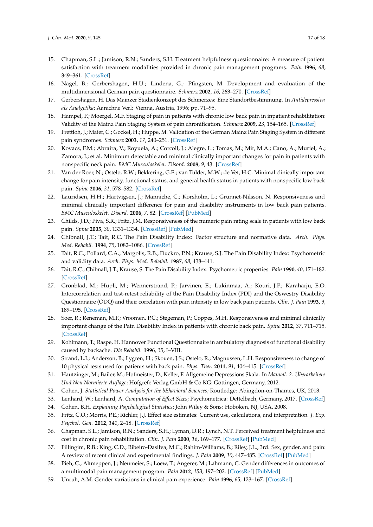- <span id="page-16-0"></span>15. Chapman, S.L.; Jamison, R.N.; Sanders, S.H. Treatment helpfulness questionnaire: A measure of patient satisfaction with treatment modalities provided in chronic pain management programs. *Pain* **1996**, *68*, 349–361. [\[CrossRef\]](http://dx.doi.org/10.1016/S0304-3959(96)03217-4)
- <span id="page-16-1"></span>16. Nagel, B.; Gerbershagen, H.U.; Lindena, G.; Pfingsten, M. Development and evaluation of the multidimensional German pain questionnaire. *Schmerz* **2002**, *16*, 263–270. [\[CrossRef\]](http://dx.doi.org/10.1007/s00482-002-0162-1)
- <span id="page-16-2"></span>17. Gerbershagen, H. Das Mainzer Stadienkonzept des Schmerzes: Eine Standortbestimmung. In *Antidepressiva als Analgetika*; Aarachne Verl: Vienna, Austria, 1996; pp. 71–95.
- <span id="page-16-3"></span>18. Hampel, P.; Moergel, M.F. Staging of pain in patients with chronic low back pain in inpatient rehabilitation: Validity of the Mainz Pain Staging System of pain chronification. *Schmerz* **2009**, *23*, 154–165. [\[CrossRef\]](http://dx.doi.org/10.1007/s00482-008-0743-8)
- <span id="page-16-4"></span>19. Frettloh, J.; Maier, C.; Gockel, H.; Huppe, M. Validation of the German Mainz Pain Staging System in different pain syndromes. *Schmerz* **2003**, *17*, 240–251. [\[CrossRef\]](http://dx.doi.org/10.1007/s00482-003-0227-9)
- <span id="page-16-5"></span>20. Kovacs, F.M.; Abraira, V.; Royuela, A.; Corcoll, J.; Alegre, L.; Tomas, M.; Mir, M.A.; Cano, A.; Muriel, A.; Zamora, J.; et al. Minimum detectable and minimal clinically important changes for pain in patients with nonspecific neck pain. *BMC Musculoskelet. Disord.* **2008**, *9*, 43. [\[CrossRef\]](http://dx.doi.org/10.1186/1471-2474-9-43)
- <span id="page-16-7"></span>21. Van der Roer, N.; Ostelo, R.W.; Bekkering, G.E.; van Tulder, M.W.; de Vet, H.C. Minimal clinically important change for pain intensity, functional status, and general health status in patients with nonspecific low back pain. *Spine* **2006**, *31*, 578–582. [\[CrossRef\]](http://dx.doi.org/10.1097/01.brs.0000201293.57439.47)
- <span id="page-16-8"></span>22. Lauridsen, H.H.; Hartvigsen, J.; Manniche, C.; Korsholm, L.; Grunnet-Nilsson, N. Responsiveness and minimal clinically important difference for pain and disability instruments in low back pain patients. *BMC Musculoskelet. Disord.* **2006**, *7*, 82. [\[CrossRef\]](http://dx.doi.org/10.1186/1471-2474-7-82) [\[PubMed\]](http://www.ncbi.nlm.nih.gov/pubmed/17064410)
- <span id="page-16-6"></span>23. Childs, J.D.; Piva, S.R.; Fritz, J.M. Responsiveness of the numeric pain rating scale in patients with low back pain. *Spine* **2005**, *30*, 1331–1334. [\[CrossRef\]](http://dx.doi.org/10.1097/01.brs.0000164099.92112.29) [\[PubMed\]](http://www.ncbi.nlm.nih.gov/pubmed/15928561)
- <span id="page-16-9"></span>24. Chibnall, J.T.; Tait, R.C. The Pain Disability Index: Factor structure and normative data. *Arch. Phys. Med. Rehabil.* **1994**, *75*, 1082–1086. [\[CrossRef\]](http://dx.doi.org/10.1016/0003-9993(94)90082-5)
- 25. Tait, R.C.; Pollard, C.A.; Margolis, R.B.; Duckro, P.N.; Krause, S.J. The Pain Disability Index: Psychometric and validity data. *Arch. Phys. Med. Rehabil.* **1987**, *68*, 438–441.
- <span id="page-16-10"></span>26. Tait, R.C.; Chibnall, J.T.; Krause, S. The Pain Disability Index: Psychometric properties. *Pain* **1990**, *40*, 171–182. [\[CrossRef\]](http://dx.doi.org/10.1016/0304-3959(90)90068-O)
- <span id="page-16-11"></span>27. Gronblad, M.; Hupli, M.; Wennerstrand, P.; Jarvinen, E.; Lukinmaa, A.; Kouri, J.P.; Karaharju, E.O. Intercorrelation and test-retest reliability of the Pain Disability Index (PDI) and the Oswestry Disability Questionnaire (ODQ) and their correlation with pain intensity in low back pain patients. *Clin. J. Pain* **1993**, *9*, 189–195. [\[CrossRef\]](http://dx.doi.org/10.1097/00002508-199309000-00006)
- <span id="page-16-12"></span>28. Soer, R.; Reneman, M.F.; Vroomen, P.C.; Stegeman, P.; Coppes, M.H. Responsiveness and minimal clinically important change of the Pain Disability Index in patients with chronic back pain. *Spine* **2012**, *37*, 711–715. [\[CrossRef\]](http://dx.doi.org/10.1097/BRS.0b013e31822c8a7a)
- <span id="page-16-13"></span>29. Kohlmann, T.; Raspe, H. Hannover Functional Questionnaire in ambulatory diagnosis of functional disability caused by backache. *Die Rehabil.* **1996**, *35*, I–VIII.
- <span id="page-16-14"></span>30. Strand, L.I.; Anderson, B.; Lygren, H.; Skouen, J.S.; Ostelo, R.; Magnussen, L.H. Responsiveness to change of 10 physical tests used for patients with back pain. *Phys. Ther.* **2011**, *91*, 404–415. [\[CrossRef\]](http://dx.doi.org/10.2522/ptj.20100016)
- <span id="page-16-15"></span>31. Hautzinger, M.; Bailer, M.; Hofmeister, D.; Keller, F. Allgemeine Depressions Skala. In *Manual. 2. Überarbeitete Und Neu Normierte Auflage*; Hofgrefe Verlag GmbH & Co KG: Göttingen, Germany, 2012.
- <span id="page-16-16"></span>32. Cohen, J. *Statistical Power Analysis for the bEhavioral Sciences*; Routledge: Abingdon-on-Thames, UK, 2013.
- <span id="page-16-17"></span>33. Lenhard, W.; Lenhard, A. *Computation of E*ff*ect Sizes*; Psychometrica: Dettelbach, Germany, 2017. [\[CrossRef\]](http://dx.doi.org/10.13140/RG.2.2.17823.92329)
- <span id="page-16-18"></span>34. Cohen, B.H. *Explaining Psychological Statistics*; John Wiley & Sons: Hoboken, NJ, USA, 2008.
- <span id="page-16-19"></span>35. Fritz, C.O.; Morris, P.E.; Richler, J.J. Effect size estimates: Current use, calculations, and interpretation. *J. Exp. Psychol. Gen.* **2012**, *141*, 2–18. [\[CrossRef\]](http://dx.doi.org/10.1037/a0024338)
- <span id="page-16-20"></span>36. Chapman, S.L.; Jamison, R.N.; Sanders, S.H.; Lyman, D.R.; Lynch, N.T. Perceived treatment helpfulness and cost in chronic pain rehabilitation. *Clin. J. Pain* **2000**, *16*, 169–177. [\[CrossRef\]](http://dx.doi.org/10.1097/00002508-200006000-00011) [\[PubMed\]](http://www.ncbi.nlm.nih.gov/pubmed/10870730)
- <span id="page-16-21"></span>37. Fillingim, R.B.; King, C.D.; Ribeiro-Dasilva, M.C.; Rahim-Williams, B.; Riley, J.L., 3rd. Sex, gender, and pain: A review of recent clinical and experimental findings. *J. Pain* **2009**, *10*, 447–485. [\[CrossRef\]](http://dx.doi.org/10.1016/j.jpain.2008.12.001) [\[PubMed\]](http://www.ncbi.nlm.nih.gov/pubmed/19411059)
- <span id="page-16-23"></span>38. Pieh, C.; Altmeppen, J.; Neumeier, S.; Loew, T.; Angerer, M.; Lahmann, C. Gender differences in outcomes of a multimodal pain management program. *Pain* **2012**, *153*, 197–202. [\[CrossRef\]](http://dx.doi.org/10.1016/j.pain.2011.10.016) [\[PubMed\]](http://www.ncbi.nlm.nih.gov/pubmed/22100358)
- <span id="page-16-22"></span>39. Unruh, A.M. Gender variations in clinical pain experience. *Pain* **1996**, *65*, 123–167. [\[CrossRef\]](http://dx.doi.org/10.1016/0304-3959(95)00214-6)